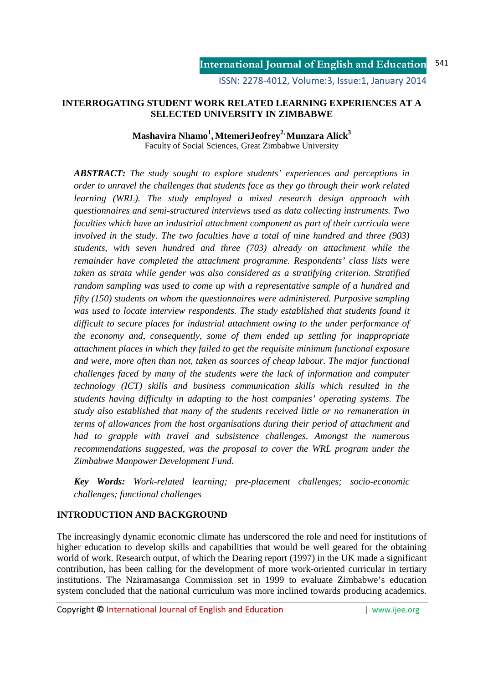ISSN: 2278-4012, Volume:3, Issue:1, January 2014

## **INTERROGATING STUDENT WORK RELATED LEARNING EXPERIENCES AT A SELECTED UNIVERSITY IN ZIMBABWE**

## **Mashavira Nhamo<sup>1</sup> , MtemeriJeofrey2, Munzara Alick<sup>3</sup>** Faculty of Social Sciences, Great Zimbabwe University

*ABSTRACT: The study sought to explore students' experiences and perceptions in order to unravel the challenges that students face as they go through their work related learning (WRL). The study employed a mixed research design approach with questionnaires and semi-structured interviews used as data collecting instruments. Two faculties which have an industrial attachment component as part of their curricula were involved in the study. The two faculties have a total of nine hundred and three (903) students, with seven hundred and three (703) already on attachment while the remainder have completed the attachment programme. Respondents' class lists were taken as strata while gender was also considered as a stratifying criterion. Stratified random sampling was used to come up with a representative sample of a hundred and fifty (150) students on whom the questionnaires were administered. Purposive sampling was used to locate interview respondents. The study established that students found it difficult to secure places for industrial attachment owing to the under performance of the economy and, consequently, some of them ended up settling for inappropriate attachment places in which they failed to get the requisite minimum functional exposure and were, more often than not, taken as sources of cheap labour. The major functional challenges faced by many of the students were the lack of information and computer technology (ICT) skills and business communication skills which resulted in the students having difficulty in adapting to the host companies' operating systems. The study also established that many of the students received little or no remuneration in terms of allowances from the host organisations during their period of attachment and had to grapple with travel and subsistence challenges. Amongst the numerous recommendations suggested, was the proposal to cover the WRL program under the Zimbabwe Manpower Development Fund.* 

*Key Words: Work-related learning; pre-placement challenges; socio-economic challenges; functional challenges* 

# **INTRODUCTION AND BACKGROUND**

The increasingly dynamic economic climate has underscored the role and need for institutions of higher education to develop skills and capabilities that would be well geared for the obtaining world of work. Research output, of which the Dearing report (1997) in the UK made a significant contribution, has been calling for the development of more work-oriented curricular in tertiary institutions. The Nziramasanga Commission set in 1999 to evaluate Zimbabwe's education system concluded that the national curriculum was more inclined towards producing academics.

Copyright **©** International Journal of English and Education | www.ijee.org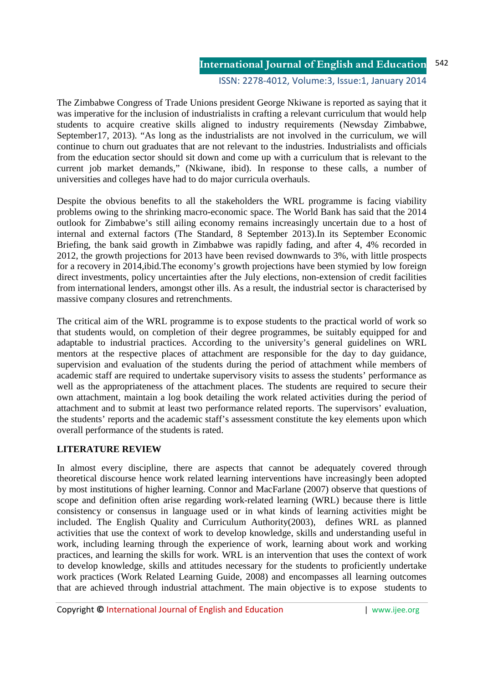#### **International Journal of English and Education** 542

#### ISSN: 2278-4012, Volume:3, Issue:1, January 2014

The Zimbabwe Congress of Trade Unions president George Nkiwane is reported as saying that it was imperative for the inclusion of industrialists in crafting a relevant curriculum that would help students to acquire creative skills aligned to industry requirements (Newsday Zimbabwe, September17, 2013). "As long as the industrialists are not involved in the curriculum, we will continue to churn out graduates that are not relevant to the industries. Industrialists and officials from the education sector should sit down and come up with a curriculum that is relevant to the current job market demands," (Nkiwane, ibid). In response to these calls, a number of universities and colleges have had to do major curricula overhauls.

Despite the obvious benefits to all the stakeholders the WRL programme is facing viability problems owing to the shrinking macro-economic space. The World Bank has said that the 2014 outlook for Zimbabwe's still ailing economy remains increasingly uncertain due to a host of internal and external factors (The Standard, 8 September 2013).In its September Economic Briefing, the bank said growth in Zimbabwe was rapidly fading, and after 4, 4% recorded in 2012, the growth projections for 2013 have been revised downwards to 3%, with little prospects for a recovery in 2014,ibid.The economy's growth projections have been stymied by low foreign direct investments, policy uncertainties after the July elections, non-extension of credit facilities from international lenders, amongst other ills. As a result, the industrial sector is characterised by massive company closures and retrenchments.

The critical aim of the WRL programme is to expose students to the practical world of work so that students would, on completion of their degree programmes, be suitably equipped for and adaptable to industrial practices. According to the university's general guidelines on WRL mentors at the respective places of attachment are responsible for the day to day guidance, supervision and evaluation of the students during the period of attachment while members of academic staff are required to undertake supervisory visits to assess the students' performance as well as the appropriateness of the attachment places. The students are required to secure their own attachment, maintain a log book detailing the work related activities during the period of attachment and to submit at least two performance related reports. The supervisors' evaluation, the students' reports and the academic staff's assessment constitute the key elements upon which overall performance of the students is rated.

## **LITERATURE REVIEW**

In almost every discipline, there are aspects that cannot be adequately covered through theoretical discourse hence work related learning interventions have increasingly been adopted by most institutions of higher learning. Connor and MacFarlane (2007) observe that questions of scope and definition often arise regarding work-related learning (WRL) because there is little consistency or consensus in language used or in what kinds of learning activities might be included. The English Quality and Curriculum Authority(2003), defines WRL as planned activities that use the context of work to develop knowledge, skills and understanding useful in work, including learning through the experience of work, learning about work and working practices, and learning the skills for work. WRL is an intervention that uses the context of work to develop knowledge, skills and attitudes necessary for the students to proficiently undertake work practices (Work Related Learning Guide, 2008) and encompasses all learning outcomes that are achieved through industrial attachment. The main objective is to expose students to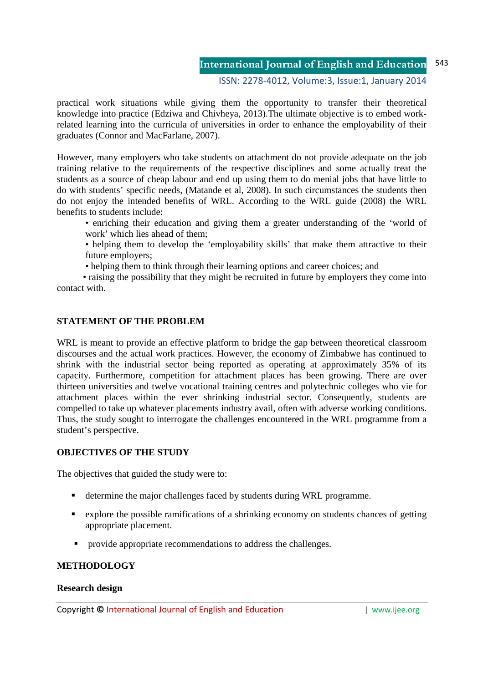#### **International Journal of English and Education** 543

## ISSN: 2278-4012, Volume:3, Issue:1, January 2014

practical work situations while giving them the opportunity to transfer their theoretical knowledge into practice (Edziwa and Chivheya, 2013).The ultimate objective is to embed workrelated learning into the curricula of universities in order to enhance the employability of their graduates (Connor and MacFarlane, 2007).

However, many employers who take students on attachment do not provide adequate on the job training relative to the requirements of the respective disciplines and some actually treat the students as a source of cheap labour and end up using them to do menial jobs that have little to do with students' specific needs, (Matande et al, 2008). In such circumstances the students then do not enjoy the intended benefits of WRL. According to the WRL guide (2008) the WRL benefits to students include:

- enriching their education and giving them a greater understanding of the 'world of work' which lies ahead of them;
- helping them to develop the 'employability skills' that make them attractive to their future employers;
- helping them to think through their learning options and career choices; and

• raising the possibility that they might be recruited in future by employers they come into contact with.

## **STATEMENT OF THE PROBLEM**

WRL is meant to provide an effective platform to bridge the gap between theoretical classroom discourses and the actual work practices. However, the economy of Zimbabwe has continued to shrink with the industrial sector being reported as operating at approximately 35% of its capacity. Furthermore, competition for attachment places has been growing. There are over thirteen universities and twelve vocational training centres and polytechnic colleges who vie for attachment places within the ever shrinking industrial sector. Consequently, students are compelled to take up whatever placements industry avail, often with adverse working conditions. Thus, the study sought to interrogate the challenges encountered in the WRL programme from a student's perspective.

## **OBJECTIVES OF THE STUDY**

The objectives that guided the study were to:

- determine the major challenges faced by students during WRL programme.
- explore the possible ramifications of a shrinking economy on students chances of getting appropriate placement.
- **•** provide appropriate recommendations to address the challenges.

## **METHODOLOGY**

## **Research design**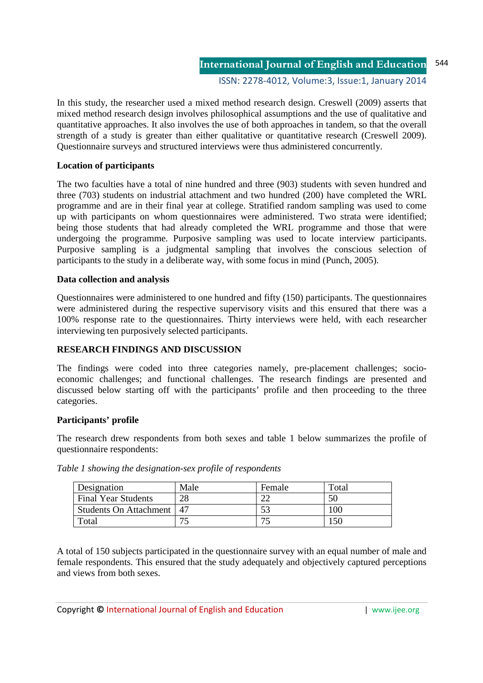ISSN: 2278-4012, Volume:3, Issue:1, January 2014

In this study, the researcher used a mixed method research design. Creswell (2009) asserts that mixed method research design involves philosophical assumptions and the use of qualitative and quantitative approaches. It also involves the use of both approaches in tandem, so that the overall strength of a study is greater than either qualitative or quantitative research (Creswell 2009). Questionnaire surveys and structured interviews were thus administered concurrently.

## **Location of participants**

The two faculties have a total of nine hundred and three (903) students with seven hundred and three (703) students on industrial attachment and two hundred (200) have completed the WRL programme and are in their final year at college. Stratified random sampling was used to come up with participants on whom questionnaires were administered. Two strata were identified; being those students that had already completed the WRL programme and those that were undergoing the programme. Purposive sampling was used to locate interview participants. Purposive sampling is a judgmental sampling that involves the conscious selection of participants to the study in a deliberate way, with some focus in mind (Punch, 2005).

## **Data collection and analysis**

Questionnaires were administered to one hundred and fifty (150) participants. The questionnaires were administered during the respective supervisory visits and this ensured that there was a 100% response rate to the questionnaires. Thirty interviews were held, with each researcher interviewing ten purposively selected participants.

## **RESEARCH FINDINGS AND DISCUSSION**

The findings were coded into three categories namely, pre-placement challenges; socioeconomic challenges; and functional challenges. The research findings are presented and discussed below starting off with the participants' profile and then proceeding to the three categories.

## **Participants' profile**

The research drew respondents from both sexes and table 1 below summarizes the profile of questionnaire respondents:

| Designation                 | Male | Female | Total |
|-----------------------------|------|--------|-------|
| <b>Final Year Students</b>  | 28   |        | 50    |
| Students On Attachment   47 |      |        | '00   |
| Total                       |      |        | 150   |

*Table 1 showing the designation-sex profile of respondents* 

A total of 150 subjects participated in the questionnaire survey with an equal number of male and female respondents. This ensured that the study adequately and objectively captured perceptions and views from both sexes.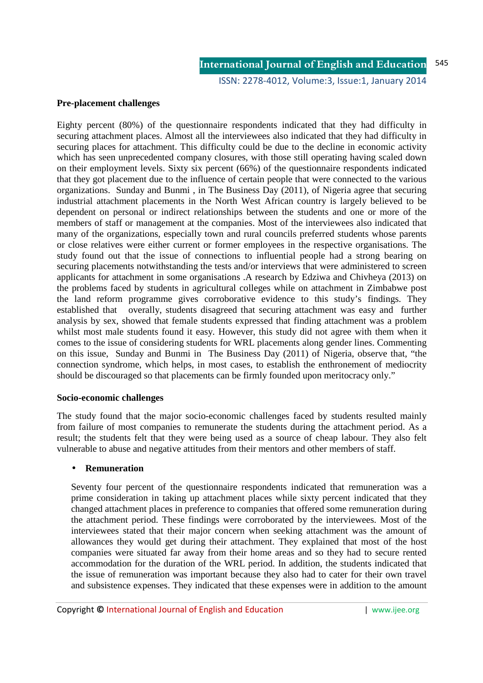## **Pre-placement challenges**

Eighty percent (80%) of the questionnaire respondents indicated that they had difficulty in securing attachment places. Almost all the interviewees also indicated that they had difficulty in securing places for attachment. This difficulty could be due to the decline in economic activity which has seen unprecedented company closures, with those still operating having scaled down on their employment levels. Sixty six percent (66%) of the questionnaire respondents indicated that they got placement due to the influence of certain people that were connected to the various organizations. Sunday and Bunmi , in The Business Day (2011), of Nigeria agree that securing industrial attachment placements in the North West African country is largely believed to be dependent on personal or indirect relationships between the students and one or more of the members of staff or management at the companies. Most of the interviewees also indicated that many of the organizations, especially town and rural councils preferred students whose parents or close relatives were either current or former employees in the respective organisations. The study found out that the issue of connections to influential people had a strong bearing on securing placements notwithstanding the tests and/or interviews that were administered to screen applicants for attachment in some organisations .A research by Edziwa and Chivheya (2013) on the problems faced by students in agricultural colleges while on attachment in Zimbabwe post the land reform programme gives corroborative evidence to this study's findings. They established that overally, students disagreed that securing attachment was easy and further analysis by sex, showed that female students expressed that finding attachment was a problem whilst most male students found it easy. However, this study did not agree with them when it comes to the issue of considering students for WRL placements along gender lines. Commenting on this issue, Sunday and Bunmi in The Business Day (2011) of Nigeria, observe that, "the connection syndrome, which helps, in most cases, to establish the enthronement of mediocrity should be discouraged so that placements can be firmly founded upon meritocracy only."

## **Socio-economic challenges**

The study found that the major socio-economic challenges faced by students resulted mainly from failure of most companies to remunerate the students during the attachment period. As a result; the students felt that they were being used as a source of cheap labour. They also felt vulnerable to abuse and negative attitudes from their mentors and other members of staff.

## • **Remuneration**

Seventy four percent of the questionnaire respondents indicated that remuneration was a prime consideration in taking up attachment places while sixty percent indicated that they changed attachment places in preference to companies that offered some remuneration during the attachment period. These findings were corroborated by the interviewees. Most of the interviewees stated that their major concern when seeking attachment was the amount of allowances they would get during their attachment. They explained that most of the host companies were situated far away from their home areas and so they had to secure rented accommodation for the duration of the WRL period. In addition, the students indicated that the issue of remuneration was important because they also had to cater for their own travel and subsistence expenses. They indicated that these expenses were in addition to the amount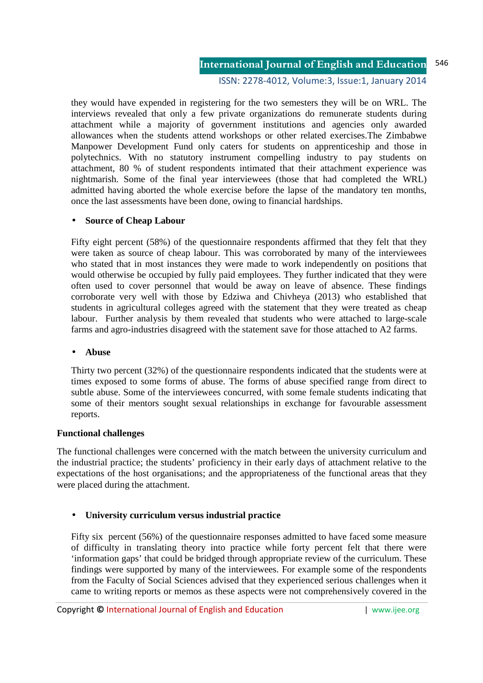#### **International Journal of English and Education** 546

#### ISSN: 2278-4012, Volume:3, Issue:1, January 2014

they would have expended in registering for the two semesters they will be on WRL. The interviews revealed that only a few private organizations do remunerate students during attachment while a majority of government institutions and agencies only awarded allowances when the students attend workshops or other related exercises.The Zimbabwe Manpower Development Fund only caters for students on apprenticeship and those in polytechnics. With no statutory instrument compelling industry to pay students on attachment, 80 % of student respondents intimated that their attachment experience was nightmarish. Some of the final year interviewees (those that had completed the WRL) admitted having aborted the whole exercise before the lapse of the mandatory ten months, once the last assessments have been done, owing to financial hardships.

## • **Source of Cheap Labour**

Fifty eight percent (58%) of the questionnaire respondents affirmed that they felt that they were taken as source of cheap labour. This was corroborated by many of the interviewees who stated that in most instances they were made to work independently on positions that would otherwise be occupied by fully paid employees. They further indicated that they were often used to cover personnel that would be away on leave of absence. These findings corroborate very well with those by Edziwa and Chivheya (2013) who established that students in agricultural colleges agreed with the statement that they were treated as cheap labour. Further analysis by them revealed that students who were attached to large-scale farms and agro-industries disagreed with the statement save for those attached to A2 farms.

#### • **Abuse**

Thirty two percent (32%) of the questionnaire respondents indicated that the students were at times exposed to some forms of abuse. The forms of abuse specified range from direct to subtle abuse. Some of the interviewees concurred, with some female students indicating that some of their mentors sought sexual relationships in exchange for favourable assessment reports.

## **Functional challenges**

The functional challenges were concerned with the match between the university curriculum and the industrial practice; the students' proficiency in their early days of attachment relative to the expectations of the host organisations; and the appropriateness of the functional areas that they were placed during the attachment.

## • **University curriculum versus industrial practice**

Fifty six percent (56%) of the questionnaire responses admitted to have faced some measure of difficulty in translating theory into practice while forty percent felt that there were 'information gaps' that could be bridged through appropriate review of the curriculum. These findings were supported by many of the interviewees. For example some of the respondents from the Faculty of Social Sciences advised that they experienced serious challenges when it came to writing reports or memos as these aspects were not comprehensively covered in the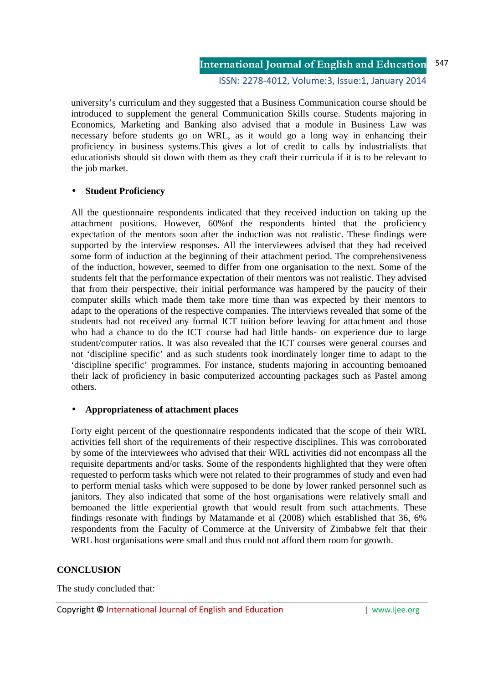ISSN: 2278-4012, Volume:3, Issue:1, January 2014

university's curriculum and they suggested that a Business Communication course should be introduced to supplement the general Communication Skills course. Students majoring in Economics, Marketing and Banking also advised that a module in Business Law was necessary before students go on WRL, as it would go a long way in enhancing their proficiency in business systems.This gives a lot of credit to calls by industrialists that educationists should sit down with them as they craft their curricula if it is to be relevant to the job market.

## • **Student Proficiency**

All the questionnaire respondents indicated that they received induction on taking up the attachment positions. However, 60%of the respondents hinted that the proficiency expectation of the mentors soon after the induction was not realistic. These findings were supported by the interview responses. All the interviewees advised that they had received some form of induction at the beginning of their attachment period. The comprehensiveness of the induction, however, seemed to differ from one organisation to the next. Some of the students felt that the performance expectation of their mentors was not realistic. They advised that from their perspective, their initial performance was hampered by the paucity of their computer skills which made them take more time than was expected by their mentors to adapt to the operations of the respective companies. The interviews revealed that some of the students had not received any formal ICT tuition before leaving for attachment and those who had a chance to do the ICT course had had little hands- on experience due to large student/computer ratios. It was also revealed that the ICT courses were general courses and not 'discipline specific' and as such students took inordinately longer time to adapt to the 'discipline specific' programmes. For instance, students majoring in accounting bemoaned their lack of proficiency in basic computerized accounting packages such as Pastel among others.

## • **Appropriateness of attachment places**

Forty eight percent of the questionnaire respondents indicated that the scope of their WRL activities fell short of the requirements of their respective disciplines. This was corroborated by some of the interviewees who advised that their WRL activities did not encompass all the requisite departments and/or tasks. Some of the respondents highlighted that they were often requested to perform tasks which were not related to their programmes of study and even had to perform menial tasks which were supposed to be done by lower ranked personnel such as janitors. They also indicated that some of the host organisations were relatively small and bemoaned the little experiential growth that would result from such attachments. These findings resonate with findings by Matamande et al (2008) which established that 36, 6% respondents from the Faculty of Commerce at the University of Zimbabwe felt that their WRL host organisations were small and thus could not afford them room for growth.

## **CONCLUSION**

The study concluded that: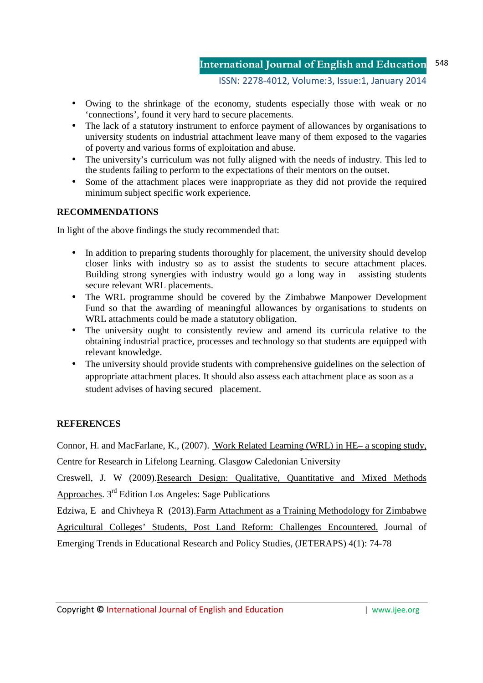- Owing to the shrinkage of the economy, students especially those with weak or no 'connections', found it very hard to secure placements.
- The lack of a statutory instrument to enforce payment of allowances by organisations to university students on industrial attachment leave many of them exposed to the vagaries of poverty and various forms of exploitation and abuse.
- The university's curriculum was not fully aligned with the needs of industry. This led to the students failing to perform to the expectations of their mentors on the outset.
- Some of the attachment places were inappropriate as they did not provide the required minimum subject specific work experience.

## **RECOMMENDATIONS**

In light of the above findings the study recommended that:

- In addition to preparing students thoroughly for placement, the university should develop closer links with industry so as to assist the students to secure attachment places. Building strong synergies with industry would go a long way in assisting students secure relevant WRL placements.
- The WRL programme should be covered by the Zimbabwe Manpower Development Fund so that the awarding of meaningful allowances by organisations to students on WRL attachments could be made a statutory obligation.
- The university ought to consistently review and amend its curricula relative to the obtaining industrial practice, processes and technology so that students are equipped with relevant knowledge.
- The university should provide students with comprehensive guidelines on the selection of appropriate attachment places. It should also assess each attachment place as soon as a student advises of having secured placement.

## **REFERENCES**

Connor, H. and MacFarlane, K., (2007). Work Related Learning (WRL) in HE– a scoping study,

Centre for Research in Lifelong Learning. Glasgow Caledonian University

Creswell, J. W (2009).Research Design: Qualitative, Quantitative and Mixed Methods Approaches. 3rd Edition Los Angeles: Sage Publications

Edziwa, E and Chivheya R (2013).Farm Attachment as a Training Methodology for Zimbabwe Agricultural Colleges' Students, Post Land Reform: Challenges Encountered. Journal of Emerging Trends in Educational Research and Policy Studies, (JETERAPS) 4(1): 74-78